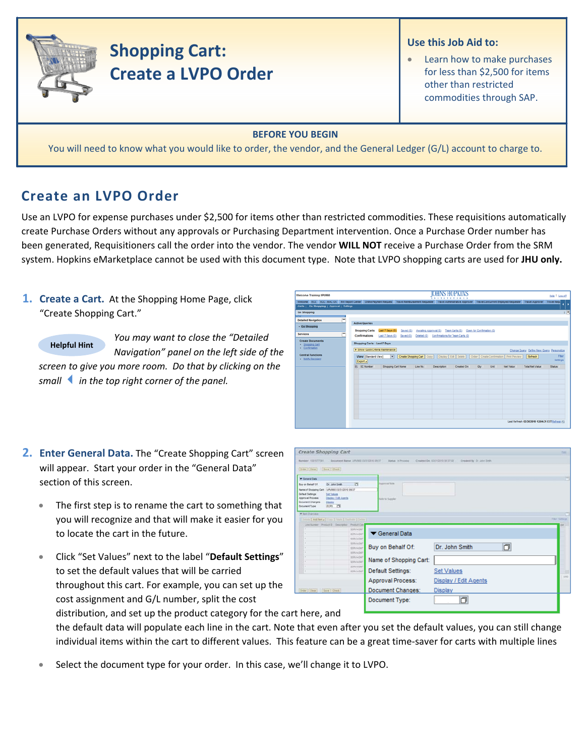

# **Shopping Cart: Create a LVPO Order**

### **Use this Job Aid to:**

Learn how to make purchases for less than \$2,500 for items other than restricted commodities through SAP.

#### **BEFORE YOU BEGIN**

You will need to know what you would like to order, the vendor, and the General Ledger (G/L) account to charge to.

# **Create an LVPO Order**

Use an LVPO for expense purchases under \$2,500 for items other than restricted commodities. These requisitions automatically create Purchase Orders without any approvals or Purchasing Department intervention. Once a Purchase Order number has been generated, Requisitioners call the order into the vendor. The vendor **WILL NOT** receive a Purchase Order from the SRM system. Hopkins eMarketplace cannot be used with this document type. Note that LVPO shopping carts are used for **JHU only.**

## **1. Create a Cart.** At the Shopping Home Page, click "Create Shopping Cart."

**Helpful Hint**

*You may want to close the "Detailed Navigation" panel on the left side of the screen to give you more room. Do that by clicking on the smallin the top right corner of the panel.*

| Welcome Training UPUR60                                                                                                                                                                                                                                           |                                        |                                                                   |                                                              |                       | <b>OHNS HOPKINS</b><br><b>XXTITETIOXX</b>    |                                                                                                         |                           |      |                  |                                                 | Help   Log.off    |
|-------------------------------------------------------------------------------------------------------------------------------------------------------------------------------------------------------------------------------------------------------------------|----------------------------------------|-------------------------------------------------------------------|--------------------------------------------------------------|-----------------------|----------------------------------------------|---------------------------------------------------------------------------------------------------------|---------------------------|------|------------------|-------------------------------------------------|-------------------|
| Welcome ECC ECC - MAC OS BW Report Center Online Payment Request Travel Reinbursement Requester Travel Administrative Approver Travel Concurrent Employed Requester Travel Approver Travel Approver Travel Approver<br>Alerts   Go Shopping   Approval   Settings |                                        |                                                                   |                                                              |                       |                                              |                                                                                                         |                           |      |                  |                                                 |                   |
| Go Shopping<br><b>RIST</b>                                                                                                                                                                                                                                        |                                        |                                                                   |                                                              |                       |                                              |                                                                                                         |                           |      |                  |                                                 | Ξ                 |
| -<br><b>Detailed Navigation</b><br>· Go Shopping                                                                                                                                                                                                                  | <b>Active Queries</b>                  |                                                                   |                                                              |                       |                                              |                                                                                                         |                           |      |                  |                                                 |                   |
| <b>Services</b>                                                                                                                                                                                                                                                   | <b>Shopping Carts</b><br>Confirmations |                                                                   | Last 7 Days (0)<br>Saved (0)<br>Last 7 Days (0)<br>Saved (0) | Awalting Approval (0) | Deleted (0) Confirmations for Team Carts (0) | Team Carts (0)                                                                                          | Open for Confirmation (0) |      |                  |                                                 |                   |
| <b>Create Documents</b><br>- Shopping Cart<br>- Confirmation                                                                                                                                                                                                      |                                        | Shopping Carts - Last 7 Days<br>> Show Quick Criteria Maintenance |                                                              |                       |                                              |                                                                                                         |                           |      |                  | Change Query Define New Query Personalize       |                   |
| <b>Central Functions</b><br><b>Notify Recipient</b>                                                                                                                                                                                                               | Export a                               | View [Standard View]                                              | $\blacksquare$                                               |                       |                                              | Create Shopping Cart   Copy     Display   Edit   Delete     Order   Create Confirmation   Print Preview |                           |      |                  | Refresh                                         | Fiter<br>Settings |
|                                                                                                                                                                                                                                                                   | <b>R.</b> SC Number                    |                                                                   | Shopping Cart Name                                           | Line No.              | <b>Description</b>                           | Created On                                                                                              | Oty                       | Unit | <b>Net Value</b> | <b>Total Net Value</b>                          | Status            |
|                                                                                                                                                                                                                                                                   |                                        |                                                                   |                                                              |                       |                                              |                                                                                                         |                           |      |                  |                                                 |                   |
|                                                                                                                                                                                                                                                                   |                                        |                                                                   |                                                              |                       |                                              |                                                                                                         |                           |      |                  |                                                 |                   |
|                                                                                                                                                                                                                                                                   |                                        |                                                                   |                                                              |                       |                                              |                                                                                                         |                           |      |                  |                                                 |                   |
|                                                                                                                                                                                                                                                                   |                                        |                                                                   |                                                              |                       |                                              |                                                                                                         |                           |      |                  |                                                 |                   |
|                                                                                                                                                                                                                                                                   |                                        |                                                                   |                                                              |                       |                                              |                                                                                                         |                           |      |                  | Last Refresh 03/30/2010 12:04:31 EST Refresh FG |                   |
|                                                                                                                                                                                                                                                                   |                                        |                                                                   |                                                              |                       |                                              |                                                                                                         |                           |      |                  |                                                 |                   |

- **2. Enter General Data.** The "Create Shopping Cart" screen will appear. Start your order in the "General Data" section of this screen.
	- The first step is to rename the cart to something that you will recognize and that will make it easier for you to locate the cart in the future.
	- Click "Set Values" next to the label "**Default Settings**" to set the default values that will be carried throughout this cart. For example, you can set up the cost assignment and G/L number, split the cost

| Create Shopping Cart                                                                    |                            |                                                        | <b>SG</b>           |
|-----------------------------------------------------------------------------------------|----------------------------|--------------------------------------------------------|---------------------|
| Document Name: URUREZ ESQ1/2010 05:37<br>Number 1001077391                              | <b>Blatus</b> , in Process | Created By Dr. John Smith<br>Created De 10010215193733 |                     |
| [Drew Clien   Dave   Dave                                                               |                            |                                                        |                     |
| <b>W</b> General Date                                                                   |                            |                                                        | E                   |
| $\overline{1}$<br>Buy on Behalf Of<br>Dr: John Smith                                    | Approved State             |                                                        |                     |
| Name of Shopping Cart: UPURED 03/31/2010 09:37<br>Detaut Settings:<br><b>Set Values</b> |                            |                                                        |                     |
| Approval Process.<br>Disclay / Edit Aserta                                              | <b>New to Suppler</b>      |                                                        |                     |
| <b>Document Changes:</b><br>Depar<br>ECPO ID<br>Document Type:                          |                            |                                                        |                     |
| * Jan Dyangor                                                                           |                            |                                                        | с                   |
| <b>Carola CAMBerta Lives 3 Free Eliminate 1 Sense 1</b>                                 |                            |                                                        | <b>That Service</b> |
| Link Number   Product D   Deacramor   Product Cabe<br>×<br>SERVASIT                     |                            |                                                        |                     |
| <b>SERVADUT</b><br>SERVADAT                                                             | General Data               |                                                        |                     |
| <b>SERVAGNT</b>                                                                         |                            |                                                        |                     |
| SERVAGAT<br>SERVADET                                                                    | Buy on Behalf Of:          | O<br>Dr. John Smith                                    |                     |
| SERVADIT<br>œ                                                                           |                            |                                                        |                     |
| <b>SERVATOR</b><br>٠.<br><b>SERVAGET</b>                                                | Name of Shopping Cart:     |                                                        |                     |
| 10<br><b>SERVADAT</b>                                                                   | Default Settings:          | <b>Set Values</b>                                      |                     |
|                                                                                         | Approval Process:          | Display / Edit Agents                                  | into:               |
|                                                                                         |                            |                                                        |                     |
| [Driver] Close : [Save   Check]                                                         | Document Changes:          | Display                                                |                     |
|                                                                                         |                            | O                                                      |                     |

distribution, and set up the product category for the ca rt here, and

the default data will populate each line in the cart. Note that even after you set the default values, you can still change individual items within the cart to different values. This feature can be a great time-saver for carts with multiple lines

• Select the document type for your order. In this case, we'll change it to LVPO.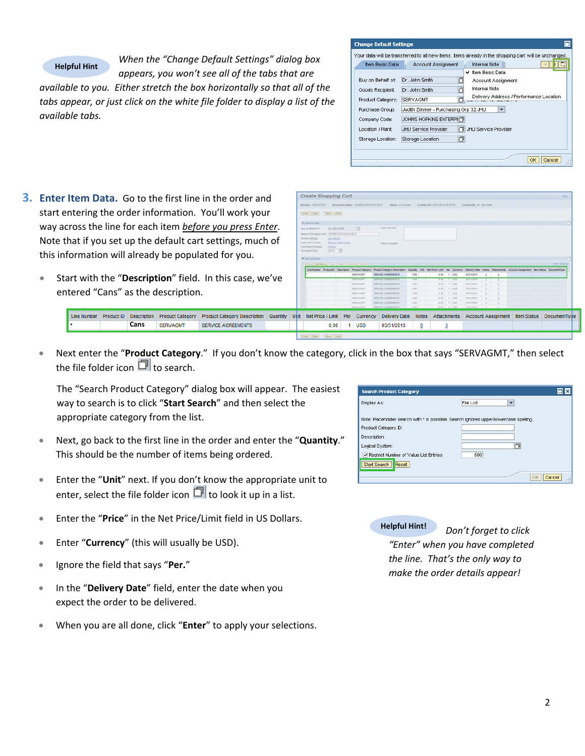### **Helpful Hint**

*When the "Change Default Settings" dialog box appears, you won't see all of the tabs that are*

*available to you. Either stretch the box horizontally so that all of the tabs appear, or just click on the white file folder to display a list of the available tabs.*

| <b>Change Default Settings</b> |                                                                                                       |
|--------------------------------|-------------------------------------------------------------------------------------------------------|
|                                | Your data will be transferred to all new items, items already in the shopping cart will be unchanged. |
| Item Basic Data                | <b>Internal Note</b><br>Account Assignment                                                            |
|                                | ✔ Item Basic Data                                                                                     |
| Buy on Behalf of:              | Dr. John Smith<br>门<br>Account Assignment                                                             |
| Goods Recipient:               | <b>Internal Note</b><br>Dr. John Smith                                                                |
| Product Category:              | Delivery Address / Performance Location<br>SERVAGMT                                                   |
| Purchase Group:                | Judith Zimmer - Purchasing Grp 32 JHU<br>$\overline{\phantom{a}}$                                     |
| Company Code:                  | <b>JOHNS HOPKINS ENTERPH门</b>                                                                         |
| Location / Plant:              | <b>JHLI Service Provider</b><br>JHU Service Provider                                                  |
| Storage Location:              | 门<br>Storage Location                                                                                 |
|                                | Cancel<br>OK                                                                                          |

- **3. Enter Item Data.** Go to the first line in the order and start entering the order information. You'll work your way across the line for each item *before you press Enter*. Note that if you set up the default cart settings, much of this information will already be populated for you.
	- Start with the "**Description**" field. In this case, we've entered "Cans" as the description.

|  |      |                 |                                                                                                                                                                                                           |  |  |            |            |         | SERVADET INFORTAGEMENTS 1.000 1.000 1.000 4.000 2.000 1.000 1.000 |  |  |
|--|------|-----------------|-----------------------------------------------------------------------------------------------------------------------------------------------------------------------------------------------------------|--|--|------------|------------|---------|-------------------------------------------------------------------|--|--|
|  |      |                 | Line Number Product ID Description Product Category Product Category Description Quantity Unit Net Price / Limit Per Currency Delivery Date Notes Attachments Account Assignment Item Status DocumentType |  |  |            |            |         |                                                                   |  |  |
|  | Cans | <b>SERVAGMT</b> | <b>SERVICE AGREEMENTS</b>                                                                                                                                                                                 |  |  | 0.00 1 USD | 03/31/2010 | $\circ$ |                                                                   |  |  |
|  |      |                 |                                                                                                                                                                                                           |  |  |            |            |         |                                                                   |  |  |

Create Shopping Cart

• Next enter the "**Product Category**." If you don't know the category, click in the box that says "SERVAGMT," then select the file folder icon  $\Box$  to search.

The "Search Product Category" dialog box will appear. The easiest way to search is to click "**Start Search**" and then select the appropriate category from the list.

- Next, go back to the first line in the order and enter the "**Quantity**." This should be the number of items being ordered.
- Enter the "**Unit**" next. If you don't know the appropriate unit to enter, select the file folder icon  $\Box$  to look it up in a list.
- Enter the "**Price**" in the Net Price/Limit field in US Dollars.
- Enter "**Currency**" (this will usually be USD).
- Ignore the field that says "**Per.**"
- In the "**Delivery Date**" field, enter the date when you expect the order to be delivered.
- When you are all done, click "**Enter**" to apply your selections.

| <b>Search Product Category</b>                                                        | ⊡l×                       |
|---------------------------------------------------------------------------------------|---------------------------|
| Display As:                                                                           | Flat List<br>$\mathbf{v}$ |
|                                                                                       |                           |
| Note: Placeholder search with * is possible. Search ignores upper/lowercase spelling. |                           |
| Product Category ID:                                                                  |                           |
| Description:                                                                          |                           |
| Logical System:                                                                       | m                         |
| Restrict Number of Value List Entries                                                 | 500                       |
| Start Search<br>Reset                                                                 |                           |
|                                                                                       | OK<br>Cancel              |
|                                                                                       |                           |

**Helpful Hint!** *Don't forget to click "Enter" when you have completed the line. That's the only way to make the order details appear!*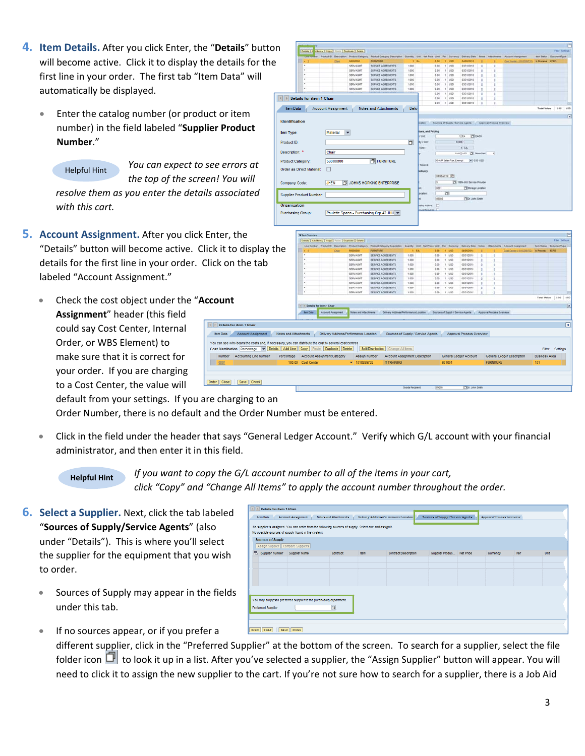- **4. Item Details.** After you click Enter, the "**Details**" button will become active. Click it to display the details for the first line in your order. The first tab "Item Data" will automatically be displayed.
	- Enter the catalog number (or product or number) in the field labeled "Supplier Pro **Number**."
		- Helpful Hint

*You* can expect to see erro *the top of the screen! Yo resolve them as* you enter the details asso *with this cart.*

**5.** Account Assignment. After you click Enter, "Details" button will become active. Click it t details for the first line in your order. Click or labeled "Account Assignment."

• Check the cost object under the "**Account Assignment**" header (this field could say Cost Center, Internal Order, or WBS Element) to make sure that it is correct for your order. If you are charging to a Cost Center, the value will

| Notes and Attachments<br>Percentage | [4] [9] Details for item 1 Chair<br><b>Inm Date</b> | <b>Account Assgratest</b><br>Delivery Address/Performance Location<br>who bears the costs and, if necessary, you can distribute the cost to several cost centres<br>tion Percentage v Details Add Line Copy Paste Duplicate Delete<br>Account Assignment Category | SERVAGNT<br>SERVAGNT<br><b>SERVAGET</b><br><b>SERVAGNIT</b><br>SERVAGNT<br>SERVAGNIT                                            | <b>SERVICE AGREEMENTS</b><br>SERVICE AGREEMENTS<br>SERVICE AGREEMENTS<br>SERVICE AGREEMENTS<br>SERVICE AGREEMENTS<br>Notes and Atlachments ( Delivery Address/Performance Location ) Sources of Supply / Dervice Agents   Approval Process Overview<br>Splt Distribution Change All tems<br>Account Assignment Description<br>Assign Number | 1.000<br>1.000<br>1.000<br>1.000<br>1.000<br>1.000                                                                                                                                                     | 0.00<br>0.00<br>0.00<br>0.00<br>0.00<br>Sources of Supply / Service Agents | $T$ 1050<br>$1 - 150$<br>$+1050$<br>$1 - 150$<br>1. 150<br>1.450 | 03/31/2010<br>43/31/2018<br>03/31/2018<br>03/31/2010<br>03/31/2018<br>Approval Process Overview<br>General Ledger Account                                                  |                                                                                                        |                                                                                                                                                                                                               | General Ledger Description                                                         | Total Value 0.00<br><b>Business Area</b>                                                                           | 4750<br>$\mathbb{R}$<br>$\boxed{\mathbf{x}}$<br>Fiter Settings |
|-------------------------------------|-----------------------------------------------------|-------------------------------------------------------------------------------------------------------------------------------------------------------------------------------------------------------------------------------------------------------------------|---------------------------------------------------------------------------------------------------------------------------------|---------------------------------------------------------------------------------------------------------------------------------------------------------------------------------------------------------------------------------------------------------------------------------------------------------------------------------------------|--------------------------------------------------------------------------------------------------------------------------------------------------------------------------------------------------------|----------------------------------------------------------------------------|------------------------------------------------------------------|----------------------------------------------------------------------------------------------------------------------------------------------------------------------------|--------------------------------------------------------------------------------------------------------|---------------------------------------------------------------------------------------------------------------------------------------------------------------------------------------------------------------|------------------------------------------------------------------------------------|--------------------------------------------------------------------------------------------------------------------|----------------------------------------------------------------|
|                                     |                                                     |                                                                                                                                                                                                                                                                   |                                                                                                                                 |                                                                                                                                                                                                                                                                                                                                             |                                                                                                                                                                                                        |                                                                            |                                                                  |                                                                                                                                                                            |                                                                                                        |                                                                                                                                                                                                               |                                                                                    |                                                                                                                    |                                                                |
|                                     |                                                     |                                                                                                                                                                                                                                                                   |                                                                                                                                 |                                                                                                                                                                                                                                                                                                                                             |                                                                                                                                                                                                        |                                                                            |                                                                  |                                                                                                                                                                            |                                                                                                        |                                                                                                                                                                                                               |                                                                                    |                                                                                                                    |                                                                |
|                                     |                                                     |                                                                                                                                                                                                                                                                   |                                                                                                                                 |                                                                                                                                                                                                                                                                                                                                             |                                                                                                                                                                                                        |                                                                            |                                                                  |                                                                                                                                                                            |                                                                                                        |                                                                                                                                                                                                               |                                                                                    |                                                                                                                    |                                                                |
|                                     |                                                     |                                                                                                                                                                                                                                                                   |                                                                                                                                 |                                                                                                                                                                                                                                                                                                                                             |                                                                                                                                                                                                        |                                                                            |                                                                  |                                                                                                                                                                            |                                                                                                        |                                                                                                                                                                                                               |                                                                                    |                                                                                                                    |                                                                |
|                                     |                                                     |                                                                                                                                                                                                                                                                   |                                                                                                                                 |                                                                                                                                                                                                                                                                                                                                             |                                                                                                                                                                                                        |                                                                            |                                                                  |                                                                                                                                                                            |                                                                                                        |                                                                                                                                                                                                               |                                                                                    |                                                                                                                    |                                                                |
|                                     |                                                     |                                                                                                                                                                                                                                                                   |                                                                                                                                 |                                                                                                                                                                                                                                                                                                                                             |                                                                                                                                                                                                        |                                                                            |                                                                  |                                                                                                                                                                            |                                                                                                        |                                                                                                                                                                                                               |                                                                                    |                                                                                                                    |                                                                |
|                                     |                                                     |                                                                                                                                                                                                                                                                   |                                                                                                                                 |                                                                                                                                                                                                                                                                                                                                             |                                                                                                                                                                                                        |                                                                            |                                                                  |                                                                                                                                                                            |                                                                                                        |                                                                                                                                                                                                               |                                                                                    |                                                                                                                    |                                                                |
|                                     |                                                     |                                                                                                                                                                                                                                                                   |                                                                                                                                 |                                                                                                                                                                                                                                                                                                                                             |                                                                                                                                                                                                        |                                                                            |                                                                  |                                                                                                                                                                            |                                                                                                        |                                                                                                                                                                                                               |                                                                                    |                                                                                                                    |                                                                |
|                                     |                                                     |                                                                                                                                                                                                                                                                   |                                                                                                                                 |                                                                                                                                                                                                                                                                                                                                             |                                                                                                                                                                                                        |                                                                            |                                                                  |                                                                                                                                                                            |                                                                                                        |                                                                                                                                                                                                               |                                                                                    |                                                                                                                    |                                                                |
|                                     |                                                     |                                                                                                                                                                                                                                                                   | <b>SERVAGIIT</b>                                                                                                                | SERVICE AGREEMENTS                                                                                                                                                                                                                                                                                                                          | 1,000                                                                                                                                                                                                  |                                                                            | 1.050                                                            | 03/31/2018                                                                                                                                                                 |                                                                                                        |                                                                                                                                                                                                               |                                                                                    |                                                                                                                    |                                                                |
|                                     |                                                     |                                                                                                                                                                                                                                                                   | <b>SERVAGNT</b>                                                                                                                 | SERVICE AGREEMENTS                                                                                                                                                                                                                                                                                                                          | 1.000                                                                                                                                                                                                  |                                                                            | 1   WD                                                           | 03/31/2010                                                                                                                                                                 | ٠                                                                                                      |                                                                                                                                                                                                               |                                                                                    |                                                                                                                    |                                                                |
|                                     |                                                     |                                                                                                                                                                                                                                                                   |                                                                                                                                 |                                                                                                                                                                                                                                                                                                                                             |                                                                                                                                                                                                        |                                                                            |                                                                  |                                                                                                                                                                            |                                                                                                        |                                                                                                                                                                                                               |                                                                                    |                                                                                                                    |                                                                |
|                                     |                                                     |                                                                                                                                                                                                                                                                   |                                                                                                                                 |                                                                                                                                                                                                                                                                                                                                             |                                                                                                                                                                                                        |                                                                            |                                                                  |                                                                                                                                                                            |                                                                                                        |                                                                                                                                                                                                               |                                                                                    |                                                                                                                    | <b>Filer Setting</b>                                           |
|                                     | <b>V</b> Ben Oyerview                               |                                                                                                                                                                                                                                                                   |                                                                                                                                 |                                                                                                                                                                                                                                                                                                                                             |                                                                                                                                                                                                        | trial Finautred                                                            |                                                                  |                                                                                                                                                                            |                                                                                                        |                                                                                                                                                                                                               |                                                                                    |                                                                                                                    |                                                                |
|                                     |                                                     |                                                                                                                                                                                                                                                                   |                                                                                                                                 |                                                                                                                                                                                                                                                                                                                                             |                                                                                                                                                                                                        | <b>Analise</b>                                                             |                                                                  |                                                                                                                                                                            |                                                                                                        |                                                                                                                                                                                                               |                                                                                    |                                                                                                                    |                                                                |
|                                     |                                                     | <b>JHEN</b>                                                                                                                                                                                                                                                       |                                                                                                                                 |                                                                                                                                                                                                                                                                                                                                             |                                                                                                                                                                                                        | ß                                                                          |                                                                  |                                                                                                                                                                            |                                                                                                        |                                                                                                                                                                                                               |                                                                                    |                                                                                                                    |                                                                |
|                                     |                                                     | п                                                                                                                                                                                                                                                                 |                                                                                                                                 |                                                                                                                                                                                                                                                                                                                                             |                                                                                                                                                                                                        | Record:<br>letivery                                                        |                                                                  |                                                                                                                                                                            |                                                                                                        |                                                                                                                                                                                                               |                                                                                    |                                                                                                                    |                                                                |
|                                     |                                                     |                                                                                                                                                                                                                                                                   |                                                                                                                                 |                                                                                                                                                                                                                                                                                                                                             |                                                                                                                                                                                                        |                                                                            |                                                                  |                                                                                                                                                                            |                                                                                                        |                                                                                                                                                                                                               |                                                                                    |                                                                                                                    |                                                                |
|                                     |                                                     |                                                                                                                                                                                                                                                                   |                                                                                                                                 |                                                                                                                                                                                                                                                                                                                                             |                                                                                                                                                                                                        | / Unit                                                                     |                                                                  | 1 EA                                                                                                                                                                       |                                                                                                        |                                                                                                                                                                                                               |                                                                                    |                                                                                                                    |                                                                |
|                                     |                                                     | <b>Material</b>                                                                                                                                                                                                                                                   | $\blacktriangledown$                                                                                                            |                                                                                                                                                                                                                                                                                                                                             |                                                                                                                                                                                                        | <b>TUNE</b>                                                                |                                                                  |                                                                                                                                                                            |                                                                                                        |                                                                                                                                                                                                               |                                                                                    |                                                                                                                    |                                                                |
|                                     |                                                     |                                                                                                                                                                                                                                                                   |                                                                                                                                 |                                                                                                                                                                                                                                                                                                                                             |                                                                                                                                                                                                        |                                                                            |                                                                  |                                                                                                                                                                            |                                                                                                        |                                                                                                                                                                                                               |                                                                                    |                                                                                                                    |                                                                |
|                                     |                                                     |                                                                                                                                                                                                                                                                   |                                                                                                                                 |                                                                                                                                                                                                                                                                                                                                             |                                                                                                                                                                                                        |                                                                            |                                                                  |                                                                                                                                                                            |                                                                                                        |                                                                                                                                                                                                               |                                                                                    |                                                                                                                    |                                                                |
|                                     |                                                     |                                                                                                                                                                                                                                                                   |                                                                                                                                 |                                                                                                                                                                                                                                                                                                                                             | Deliv                                                                                                                                                                                                  |                                                                            |                                                                  |                                                                                                                                                                            |                                                                                                        |                                                                                                                                                                                                               |                                                                                    |                                                                                                                    | Total Value   0.00   USD                                       |
|                                     |                                                     |                                                                                                                                                                                                                                                                   |                                                                                                                                 |                                                                                                                                                                                                                                                                                                                                             |                                                                                                                                                                                                        |                                                                            | 1.1450                                                           | 03/31/2010                                                                                                                                                                 | ٠                                                                                                      |                                                                                                                                                                                                               |                                                                                    |                                                                                                                    |                                                                |
|                                     |                                                     |                                                                                                                                                                                                                                                                   |                                                                                                                                 |                                                                                                                                                                                                                                                                                                                                             |                                                                                                                                                                                                        |                                                                            | 1.050                                                            | 03/31/2010                                                                                                                                                                 |                                                                                                        |                                                                                                                                                                                                               |                                                                                    |                                                                                                                    |                                                                |
|                                     | o display the                                       | <b>Item Data</b><br><b>Identification</b><br>Item Type:<br>Product ID:<br>Description: *<br>Product Category:<br><b>Company Code:</b><br>Organization<br><b>Purchasing Group:</b>                                                                                 | <b>ICO Details for item 1 Chair</b><br>Chair<br>56000000<br><b>Order as Direct Material:</b><br><b>Supplier Product Number:</b> | SERVAGN?<br><b>Account Assignment</b><br>Details   Add from a   Copy   Passe   Duplicate   Detete<br>SERVAGNIT                                                                                                                                                                                                                              | SERVICE AGREEMENTS<br><b>Notes and Attachments</b><br>FURNITURE<br>JOHNS HOPKINS ENTERPRISE<br>Paulette Spann - Purchasing Grp 42 JHU   $\blacktriangledown$<br><b>FURNITURE</b><br>SERVICE AGREEMENTS | SERVAGM1<br>SERVICE AGREEMENTS<br>1.000<br>n<br>1,000                      | thy / Unit<br>Iding Active<br><b>LA</b>                          | 0.00<br>$t$ $150$<br>0.00<br>0.00<br>0.00<br>1 V50<br>fues, and Pricing<br>04050110<br>0001<br>西<br>ciono<br>$\Box$<br>0.00<br>$1 - 100$<br>0.00<br>0.00<br>1.1850<br>0.00 | 03/31/2010<br>010031010<br>0.000<br>04050918<br>03/31/2018<br>SERVICE AGREEMENTS<br>0.00<br>03/31/2010 | 1 EA CLEADS<br><b>Clibbrage Location</b><br><b>TED: John Smith</b><br>Line Number Product D Description Product Category Product Category Description Guantify 2nd Net Price / Line Par Currency Date ry Oate | 0.00 USD 2% Price Unit 1<br>1005-25/ Service Provider<br><b>Sizkes</b> Attachments | 1.150<br>03/31/2010<br>cation . Sources of Supply / Service Agents Approval Process Overview<br>Account Assignment | ten Status Decumentlype<br><b>It Process ECPO</b>              |

default from your settings. If you are charging to an

Order Number, there is no default and the Order Number must be entered.

• Click in the field under the header that says "General Ledger Account." Verify which G/L account with your financial administrator, and then enter it in this field.

**Helpful Hint**

*If you want to copy the G/L account number to all of the items in your cart, click "Copy" and "Change All Items" to apply the account number throughout the order.*

orem | s. <mark>chemu | Copy |</mark> Fixin | Duplicate | Delete

- **6. Select a Supplier.** Next, click the tab labeled "**Sources of Supply/Service Agents**" (also under "Details"). This is where you'll select the supplier for the equipment that you wish to order.
	- Sources of Supply may appear in the fields under this tab.

|                   | Detaile for dem 1 Chair-                                          |                                                                                                        |             |                                       |                                   |                  |                           |     |            |
|-------------------|-------------------------------------------------------------------|--------------------------------------------------------------------------------------------------------|-------------|---------------------------------------|-----------------------------------|------------------|---------------------------|-----|------------|
| Trom Data         | Account Assignment                                                | Notes and Attachments                                                                                  |             | Delivery Address/Performance Location | Sources of Suppy / Service Agents |                  | Approval Process Overview |     |            |
|                   | We possible sources of supply found in the system.                | No supplier is assigned. You can order from the following sources of supply. Selectione and assign it. |             |                                       |                                   |                  |                           |     |            |
| Sources of Sepply |                                                                   |                                                                                                        |             |                                       |                                   |                  |                           |     |            |
|                   | Assign Supplier Compare Suppliers                                 |                                                                                                        |             |                                       |                                   |                  |                           |     |            |
|                   | R Supplex Number Supplier Name                                    | <b>Confract</b>                                                                                        | <b>Bern</b> | Contract Description                  | Supplier Fraduct                  | <b>Net Price</b> | Corremacy                 | Par | <b>Hot</b> |
|                   |                                                                   |                                                                                                        |             |                                       |                                   |                  |                           |     |            |
|                   |                                                                   |                                                                                                        |             |                                       |                                   |                  |                           |     |            |
|                   |                                                                   |                                                                                                        |             |                                       |                                   |                  |                           |     |            |
|                   |                                                                   |                                                                                                        |             |                                       |                                   |                  |                           |     |            |
|                   |                                                                   |                                                                                                        |             |                                       |                                   |                  |                           |     |            |
|                   |                                                                   |                                                                                                        |             |                                       |                                   |                  |                           |     |            |
|                   | You may suggest a preferred suppler to the purchasing department. |                                                                                                        |             |                                       |                                   |                  |                           |     |            |
| Proferred Supplet |                                                                   | in all                                                                                                 |             |                                       |                                   |                  |                           |     |            |
|                   |                                                                   |                                                                                                        |             |                                       |                                   |                  |                           |     |            |
|                   |                                                                   |                                                                                                        |             |                                       |                                   |                  |                           |     |            |
|                   |                                                                   |                                                                                                        |             |                                       |                                   |                  |                           |     |            |
|                   | Order Close Save Check                                            |                                                                                                        |             |                                       |                                   |                  |                           |     |            |

If no sources appear, or if you prefer a

different supplier, click in the "Preferred Supplier" at the bottom of the screen. To search for a supplier, select the file folder icon  $\Box$  to look it up in a list. After you've selected a supplier, the "Assign Supplier" button will appear. You will need to click it to assign the new supplier to the cart. If you're not sure how to search for a supplier, there is a Job Aid